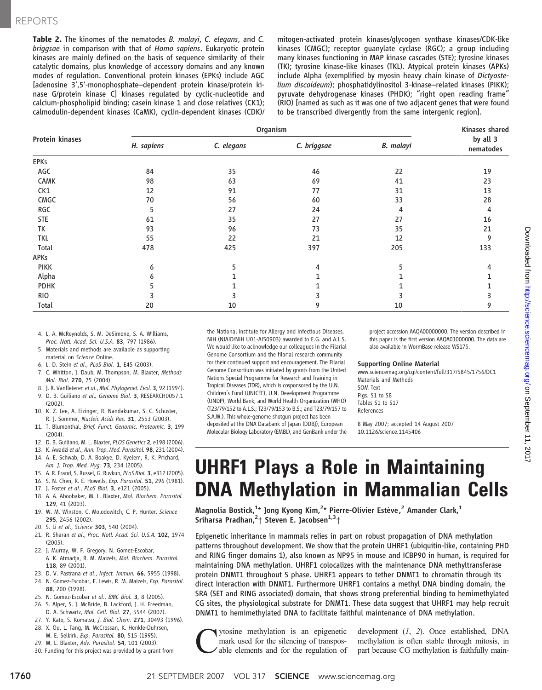Table 2. The kinomes of the nematodes B. malayi, C. elegans, and C. briggsae in comparison with that of Homo sapiens. Eukaryotic protein kinases are mainly defined on the basis of sequence similarity of their catalytic domains, plus knowledge of accessory domains and any known modes of regulation. Conventional protein kinases (EPKs) include AGC [adenosine 3′,5′-monophosphate–dependent protein kinase/protein kinase G/protein kinase C] kinases regulated by cyclic-nucleotide and calcium-phospholipid binding; casein kinase 1 and close relatives (CK1); calmodulin-dependent kinases (CaMK), cyclin-dependent kinases (CDK)/

mitogen-activated protein kinases/glycogen synthase kinases/CDK-like kinases (CMGC); receptor guanylate cyclase (RGC); a group including many kinases functioning in MAP kinase cascades (STE); tyrosine kinases (TK); tyrosine kinase-like kinases (TKL). Atypical protein kinases (APKs) include Alpha (exemplified by myosin heavy chain kinase of Dictyostelium discoideum); phosphatidylinositol 3-kinase–related kinases (PIKK); pyruvate dehydrogenase kinases (PHDK); "right open reading frame" (RIO) [named as such as it was one of two adjacent genes that were found to be transcribed divergently from the same intergenic region].

| <b>Protein kinases</b> | Organism   |            |             |                  | Kinases shared        |
|------------------------|------------|------------|-------------|------------------|-----------------------|
|                        | H. sapiens | C. elegans | C. briggsae | <b>B.</b> malayi | by all 3<br>nematodes |
| <b>EPKs</b>            |            |            |             |                  |                       |
| AGC                    | 84         | 35         | 46          | 22               | 19                    |
| CAMK                   | 98         | 63         | 69          | 41               | 23                    |
| CK1                    | 12         | 91         | 77          | 31               | 13                    |
| CMGC                   | 70         | 56         | 60          | 33               | 28                    |
| RGC                    | 5          | 27         | 24          | 4                | 4                     |
| <b>STE</b>             | 61         | 35         | 27          | 27               | 16                    |
| TK                     | 93         | 96         | 73          | 35               | 21                    |
| <b>TKL</b>             | 55         | 22         | 21          | 12               | 9                     |
| Total                  | 478        | 425        | 397         | 205              | 133                   |
| APKs                   |            |            |             |                  |                       |
| <b>PIKK</b>            | 6          |            | 4           |                  |                       |
| Alpha                  |            |            |             |                  |                       |
| <b>PDHK</b>            |            |            |             |                  |                       |
| <b>RIO</b>             |            |            |             |                  |                       |
| Total                  | 20         | 10         | 9           | 10               | 9                     |

- 4. L. A. McReynolds, S. M. DeSimone, S. A. Williams, Proc. Natl. Acad. Sci. U.S.A. 83, 797 (1986).
- 5. Materials and methods are available as supporting material on Science Online.
- 6. L. D. Stein et al., PLoS Biol. 1, E45 (2003).
- 7. C. Whitton, J. Daub, M. Thompson, M. Blaxter, Methods Mol. Biol. 270, 75 (2004).
- 8. J. R. Vanfleteren et al., Mol. Phylogenet. Evol. 3, 92 (1994).
- 9. D. B. Guiliano et al., Genome Biol. 3, RESEARCH0057.1 (2002).
- 10. K. Z. Lee, A. Eizinger, R. Nandakumar, S. C. Schuster, R. J. Sommer, Nucleic Acids Res. 31, 2553 (2003).
- 11. T. Blumenthal, Brief. Funct. Genomic. Proteomic. 3, 199 (2004).
- 12. D. B. Guiliano, M. L. Blaxter, PLOS Genetics 2, e198 (2006).
- 13. K. Awadzi et al., Ann. Trop. Med. Parasitol. 98, 231 (2004).
- 14. A. E. Schwab, D. A. Boakye, D. Kyelem, R. K. Prichard, Am. J. Trop. Med. Hyg. 73, 234 (2005).
- 15. A. R. Frand, S. Russel, G. Ruvkun, PLoS Biol. 3, e312 (2005).
- 16. S. N. Chen, R. E. Howells, Exp. Parasitol. 51, 296 (1981).
- 17. J. Foster et al., PLoS Biol. 3, e121 (2005).
- 18. A. A. Aboobaker, M. L. Blaxter, Mol. Biochem. Parasitol. 129, 41 (2003).
- 19. W. M. Winston, C. Molodowitch, C. P. Hunter, Science 295, 2456 (2002).
- 20. S. Li et al., Science 303, 540 (2004).
- 21. R. Sharan et al., Proc. Natl. Acad. Sci. U.S.A. 102, 1974 (2005).
- 22. J. Murray, W. F. Gregory, N. Gomez-Escobar, A. K. Atmadja, R. M. Maizels, Mol. Biochem. Parasitol. 118, 89 (2001).
- 23. D. V. Pastrana et al., Infect. Immun. 66, 5955 (1998).
- 24. N. Gomez-Escobar, E. Lewis, R. M. Maizels, Exp. Parasitol. 88, 200 (1998).
- 25. N. Gomez-Escobar et al., BMC Biol. 3, 8 (2005).
- 26. S. Alper, S. J. McBride, B. Lackford, J. H. Freedman, D. A. Schwartz, Mol. Cell. Biol. 27, 5544 (2007).
- 27. Y. Kato, S. Komatsu, J. Biol. Chem. 271, 30493 (1996).
- 28. X. Ou, L. Tang, M. McCrossan, K. Henkle-Duhrsen, M. E. Selkirk, Exp. Parasitol. 80, 515 (1995).
- 29. M. L. Blaxter, Adv. Parasitol. 54, 101 (2003).
- 30. Funding for this project was provided by a grant from

the National Institute for Allergy and Infectious Diseases, NIH (NIAID/NIH U01-AI50903) awarded to E.G. and A.L.S. We would like to acknowledge our colleagues in the Filarial Genome Consortium and the filarial research community for their continued support and encouragement. The Filarial Genome Consortium was initiated by grants from the United Nations Special Programme for Research and Training in Tropical Diseases (TDR), which is cosponsored by the U.N. Children's Fund (UNICEF), U.N. Development Programme (UNDP), World Bank, and World Health Organization (WHO) (T23/79/152 to A.L.S.; T23/79/153 to B.S.; and T23/79/157 to S.A.W.). This whole-genome shotgun project has been deposited at the DNA Databank of Japan (DDBJ), European Molecular Biology Laboratory (EMBL), and GenBank under the project accession AAQA00000000. The version described in this paper is the first version AAQA01000000. The data are also available in WormBase release WS175.

### Supporting Online Material

www.sciencemag.org/cgi/content/full/317/5845/1756/DC1 Materials and Methods SOM Text Figs. S1 to S8 Tables S1 to S17 References

8 May 2007; accepted 14 August 2007 10.1126/science.1145406

# UHRF1 Plays a Role in Maintaining DNA Methylation in Mammalian Cells

Magnolia Bostick,<sup>1</sup>\* Jong Kyong Kim,<sup>2</sup>\* Pierre-Olivier Estève,<sup>2</sup> Amander Clark,<sup>1</sup> Sriharsa Pradhan, <sup>2</sup>† Steven E. Jacobsen<sup>1, 3</sup>†

Epigenetic inheritance in mammals relies in part on robust propagation of DNA methylation patterns throughout development. We show that the protein UHRF1 (ubiquitin-like, containing PHD and RING finger domains 1), also known as NP95 in mouse and ICBP90 in human, is required for maintaining DNA methylation. UHRF1 colocalizes with the maintenance DNA methyltransferase protein DNMT1 throughout S phase. UHRF1 appears to tether DNMT1 to chromatin through its direct interaction with DNMT1. Furthermore UHRF1 contains a methyl DNA binding domain, the SRA (SET and RING associated) domain, that shows strong preferential binding to hemimethylated CG sites, the physiological substrate for DNMT1. These data suggest that UHRF1 may help recruit DNMT1 to hemimethylated DNA to facilitate faithful maintenance of DNA methylation.

Cytosine methylation is an epigenetic able elements and for the regulation of mark used for the silencing of transpos-

development (1, 2). Once established, DNA methylation is often stable through mitosis, in part because CG methylation is faithfully main-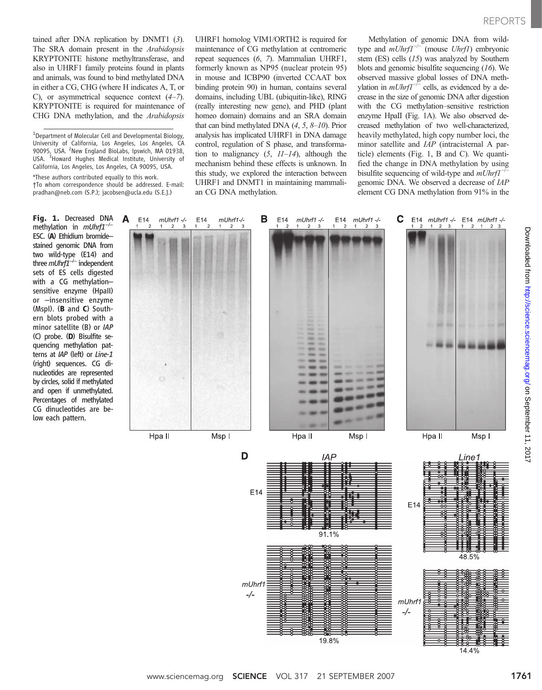tained after DNA replication by DNMT1 (3). The SRA domain present in the Arabidopsis KRYPTONITE histone methyltransferase, and also in UHRF1 family proteins found in plants and animals, was found to bind methylated DNA in either a CG, CHG (where H indicates A, T, or C), or asymmetrical sequence context  $(4-7)$ . KRYPTONITE is required for maintenance of CHG DNA methylation, and the Arabidopsis

\*These authors contributed equally to this work. †To whom correspondence should be addressed. E-mail: pradhan@neb.com (S.P.); jacobsen@ucla.edu (S.E.J.)

Α

E14

Fig. 1. Decreased DNA methylation in mUhrf1<sup>-</sup> ESC. (A) Ethidium bromide– stained genomic DNA from two wild-type (E14) and three *mUhrf1<sup>-/-</sup>* independent sets of ES cells digested with a CG methylation– sensitive enzyme (HpaII) or –insensitive enzyme (MspI). (B and C) Southern blots probed with a minor satellite (B) or IAP (C) probe. (D) Bisulfite sequencing methylation patterns at IAP (left) or Line-1 (right) sequences. CG dinucleotides are represented by circles, solid if methylated and open if unmethylated. Percentages of methylated CG dinucleotides are below each pattern.

UHRF1 homolog VIM1/ORTH2 is required for maintenance of CG methylation at centromeric repeat sequences (6, 7). Mammalian UHRF1, formerly known as NP95 (nuclear protein 95) in mouse and ICBP90 (inverted CCAAT box binding protein 90) in human, contains several domains, including UBL (ubiquitin-like), RING (really interesting new gene), and PHD (plant homeo domain) domains and an SRA domain that can bind methylated DNA  $(4, 5, 8-10)$ . Prior analysis has implicated UHRF1 in DNA damage control, regulation of S phase, and transformation to malignancy  $(5, 11-14)$ , although the mechanism behind these effects is unknown. In this study, we explored the interaction between UHRF1 and DNMT1 in maintaining mammalian CG DNA methylation.

Methylation of genomic DNA from wildtype and  $mUnrf1^{-/-}$  (mouse Uhrf1) embryonic stem (ES) cells (15) was analyzed by Southern blots and genomic bisulfite sequencing (16). We observed massive global losses of DNA methylation in  $mUnrf^{-\text{--}}$  cells, as evidenced by a decrease in the size of genomic DNA after digestion with the CG methylation–sensitive restriction enzyme HpaII (Fig. 1A). We also observed decreased methylation of two well-characterized, heavily methylated, high copy number loci, the minor satellite and IAP (intracisternal A particle) elements (Fig. 1, B and C). We quantified the change in DNA methylation by using bisulfite sequencing of wild-type and mUhrf1<sup>−</sup> genomic DNA. We observed a decrease of IAP element CG DNA methylation from 91% in the



<sup>&</sup>lt;sup>1</sup>Department of Molecular Cell and Developmental Biology, University of California, Los Angeles, Los Angeles, CA 90095, USA. <sup>2</sup>New England BioLabs, Ipswich, MA 01938, USA. <sup>3</sup>Howard Hughes Medical Institute, University of California, Los Angeles, Los Angeles, CA 90095, USA.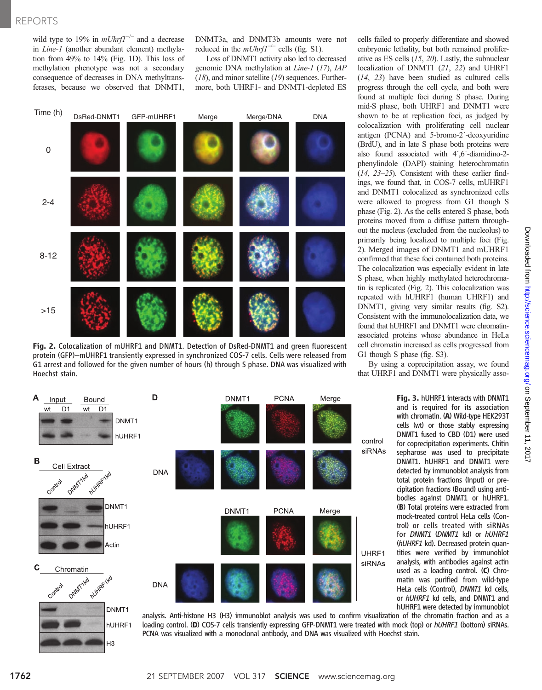wild type to 19% in  $mUnrf1^{-/-}$  and a decrease in Line-1 (another abundant element) methylation from 49% to 14% (Fig. 1D). This loss of methylation phenotype was not a secondary consequence of decreases in DNA methyltransferases, because we observed that DNMT1,

DNMT3a, and DNMT3b amounts were not reduced in the  $mUnrf1^{-/-}$  cells (fig. S1).

Loss of DNMT1 activity also led to decreased genomic DNA methylation at Line-1 (17), IAP  $(18)$ , and minor satellite  $(19)$  sequences. Furthermore, both UHRF1- and DNMT1-depleted ES



Fig. 2. Colocalization of mUHRF1 and DNMT1. Detection of DsRed-DNMT1 and green fluorescent protein (GFP)–mUHRF1 transiently expressed in synchronized COS-7 cells. Cells were released from G1 arrest and followed for the given number of hours (h) through S phase. DNA was visualized with Hoechst stain.

cells failed to properly differentiate and showed embryonic lethality, but both remained proliferative as ES cells (15, 20). Lastly, the subnuclear localization of DNMT1 (21, 22) and UHRF1 (14, 23) have been studied as cultured cells progress through the cell cycle, and both were found at multiple foci during S phase. During mid-S phase, both UHRF1 and DNMT1 were shown to be at replication foci, as judged by colocalization with proliferating cell nuclear antigen (PCNA) and 5-bromo-2´-deoxyuridine (BrdU), and in late S phase both proteins were also found associated with 4´,6´-diamidino-2 phenylindole (DAPI)–staining heterochromatin (14, 23–25). Consistent with these earlier findings, we found that, in COS-7 cells, mUHRF1 and DNMT1 colocalized as synchronized cells were allowed to progress from G1 though S phase (Fig. 2). As the cells entered S phase, both proteins moved from a diffuse pattern throughout the nucleus (excluded from the nucleolus) to primarily being localized to multiple foci (Fig. 2). Merged images of DNMT1 and mUHRF1 confirmed that these foci contained both proteins. The colocalization was especially evident in late S phase, when highly methylated heterochromatin is replicated (Fig. 2). This colocalization was repeated with hUHRF1 (human UHRF1) and DNMT1, giving very similar results (fig. S2). Consistent with the immunolocalization data, we found that hUHRF1 and DNMT1 were chromatinassociated proteins whose abundance in HeLa cell chromatin increased as cells progressed from G1 though S phase (fig. S3).

By using a coprecipitation assay, we found that UHRF1 and DNMT1 were physically assoDownloaded from http://science.sciencemag.org/ on September 11, 2017 Downloaded from [http://science.science](http://science.sciencemag.org/)mag.org/ on September 11, 2017



Fig. 3. hUHRF1 interacts with DNMT1 and is required for its association with chromatin. (A) Wild-type HEK293T cells (wt) or those stably expressing DNMT1 fused to CBD (D1) were used for coprecipitation experiments. Chitin sepharose was used to precipitate DNMT1. hUHRF1 and DNMT1 were detected by immunoblot analysis from total protein fractions (Input) or precipitation fractions (Bound) using antibodies against DNMT1 or hUHRF1. (B) Total proteins were extracted from mock-treated control HeLa cells (Control) or cells treated with siRNAs for DNMT1 (DNMT1 kd) or hUHRF1 (hUHRF1 kd). Decreased protein quantities were verified by immunoblot analysis, with antibodies against actin used as a loading control. (C) Chro-matin was purified from wild-type HeLa cells (Control), DNMT1 kd cells, or hUHRF1 kd cells, and DNMT1 and hUHRF1 were detected by immunoblot



A

В

 $\mathbf C$ 

hUHRF1

H<sub>3</sub>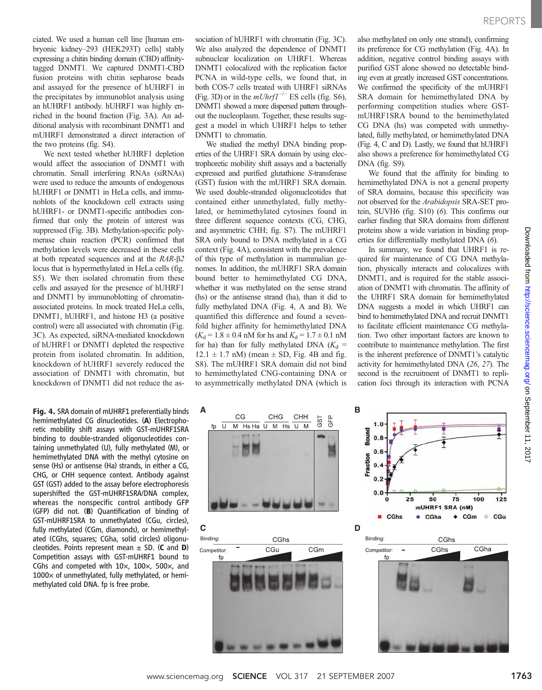ciated. We used a human cell line [human embryonic kidney–293 (HEK293T) cells] stably expressing a chitin binding domain (CBD) affinitytagged DNMT1. We captured DNMT1-CBD fusion proteins with chitin sepharose beads and assayed for the presence of hUHRF1 in the precipitates by immunoblot analysis using an hUHRF1 antibody. hUHRF1 was highly enriched in the bound fraction (Fig. 3A). An additional analysis with recombinant DNMT1 and mUHRF1 demonstrated a direct interaction of the two proteins (fig. S4).

We next tested whether hUHRF1 depletion would affect the association of DNMT1 with chromatin. Small interfering RNAs (siRNAs) were used to reduce the amounts of endogenous hUHRF1 or DNMT1 in HeLa cells, and immunoblots of the knockdown cell extracts using hUHRF1- or DNMT1-specific antibodies confirmed that only the protein of interest was suppressed (Fig. 3B). Methylation-specific polymerase chain reaction (PCR) confirmed that methylation levels were decreased in these cells at both repeated sequences and at the RAR-b2 locus that is hypermethylated in HeLa cells (fig. S5). We then isolated chromatin from these cells and assayed for the presence of hUHRF1 and DNMT1 by immunoblotting of chromatinassociated proteins. In mock treated HeLa cells, DNMT1, hUHRF1, and histone H3 (a positive control) were all associated with chromatin (Fig. 3C). As expected, siRNA-mediated knockdown of hUHRF1 or DNMT1 depleted the respective protein from isolated chromatin. In addition, knockdown of hUHRF1 severely reduced the association of DNMT1 with chromatin, but knockdown of DNMT1 did not reduce the as-

Fig. 4. SRA domain of mUHRF1 preferentially binds hemimethylated CG dinucleotides. (A) Electrophoretic mobility shift assays with GST-mUHRF1SRA binding to double-stranded oligonucleotides containing unmethylated (U), fully methylated (M), or hemimethylated DNA with the methyl cytosine on sense (Hs) or antisense (Ha) strands, in either a CG, CHG, or CHH sequence context. Antibody against GST (GST) added to the assay before electrophoresis supershifted the GST-mUHRF1SRA/DNA complex, whereas the nonspecific control antibody GFP (GFP) did not. (B) Quantification of binding of GST-mUHRF1SRA to unmethylated (CGu, circles), fully methylated (CGm, diamonds), or hemimethylated (CGhs, squares; CGha, solid circles) oligonucleotides. Points represent mean  $\pm$  SD. (C and D) Competition assays with GST-mUHRF1 bound to CGhs and competed with  $10\times$ ,  $100\times$ ,  $500\times$ , and  $1000\times$  of unmethylated, fully methylated, or hemimethylated cold DNA. fp is free probe.

sociation of hUHRF1 with chromatin (Fig. 3C). We also analyzed the dependence of DNMT1 subnuclear localization on UHRF1. Whereas DNMT1 colocalized with the replication factor PCNA in wild-type cells, we found that, in both COS-7 cells treated with UHRF1 siRNAs (Fig. 3D) or in the  $mUnrf1^{-/-}$  ES cells (fig. S6), DNMT1 showed a more dispersed pattern throughout the nucleoplasm. Together, these results suggest a model in which UHRF1 helps to tether DNMT1 to chromatin.

We studied the methyl DNA binding properties of the UHRF1 SRA domain by using electrophoretic mobility shift assays and a bacterially expressed and purified glutathione S-transferase (GST) fusion with the mUHRF1 SRA domain. We used double-stranded oligonucleotides that contained either unmethylated, fully methylated, or hemimethylated cytosines found in three different sequence contexts (CG, CHG, and asymmetric CHH; fig. S7). The mUHRF1 SRA only bound to DNA methylated in a CG context (Fig. 4A), consistent with the prevalence of this type of methylation in mammalian genomes. In addition, the mUHRF1 SRA domain bound better to hemimethylated CG DNA, whether it was methylated on the sense strand (hs) or the antisense strand (ha), than it did to fully methylated DNA (Fig. 4, A and B). We quantified this difference and found a sevenfold higher affinity for hemimethylated DNA  $(K_d = 1.8 \pm 0.4 \text{ nM} \text{ for hs and } K_d = 1.7 \pm 0.1 \text{ nM}$ for ha) than for fully methylated DNA  $(K_d =$  $12.1 \pm 1.7$  nM) (mean  $\pm$  SD, Fig. 4B and fig. S8). The mUHRF1 SRA domain did not bind to hemimethylated CNG-containing DNA or to asymmetrically methylated DNA (which is

also methylated on only one strand), confirming its preference for CG methylation (Fig. 4A). In addition, negative control binding assays with purified GST alone showed no detectable binding even at greatly increased GST concentrations. We confirmed the specificity of the mUHRF1 SRA domain for hemimethylated DNA by performing competition studies where GSTmUHRF1SRA bound to the hemimethylated CG DNA (hs) was competed with unmethylated, fully methylated, or hemimethylated DNA (Fig. 4, C and D). Lastly, we found that hUHRF1 also shows a preference for hemimethylated CG DNA (fig. S9).

We found that the affinity for binding to hemimethylated DNA is not a general property of SRA domains, because this specificity was not observed for the Arabidopsis SRA-SET protein, SUVH6 (fig. S10) (6). This confirms our earlier finding that SRA domains from different proteins show a wide variation in binding properties for differentially methylated DNA (6).

In summary, we found that UHRF1 is required for maintenance of CG DNA methylation, physically interacts and colocalizes with DNMT1, and is required for the stable association of DNMT1 with chromatin. The affinity of the UHRF1 SRA domain for hemimethylated DNA suggests a model in which UHRF1 can bind to hemimethylated DNA and recruit DNMT1 to facilitate efficient maintenance CG methylation. Two other important factors are known to contribute to maintenance methylation. The first is the inherent preference of DNMT1's catalytic activity for hemimethylated DNA (26, 27). The second is the recruitment of DNMT1 to replication foci through its interaction with PCNA

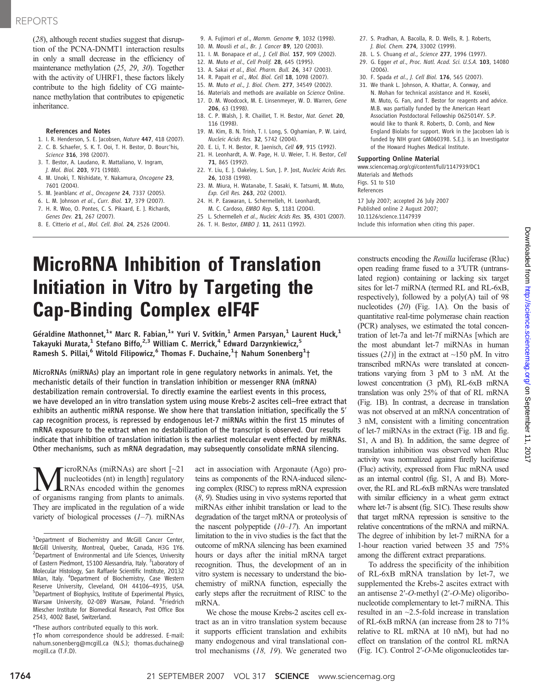## REPORTS

(28), although recent studies suggest that disruption of the PCNA-DNMT1 interaction results in only a small decrease in the efficiency of maintenance methylation (25, 29, 30). Together with the activity of UHRF1, these factors likely contribute to the high fidelity of CG maintenance methylation that contributes to epigenetic inheritance.

#### References and Notes

- 1. I. R. Henderson, S. E. Jacobsen, Nature 447, 418 (2007). 2. C. B. Schaefer, S. K. T. Ooi, T. H. Bestor, D. Bourc'his,
- Science 316, 398 (2007). 3. T. Bestor, A. Laudano, R. Mattaliano, V. Ingram, J. Mol. Biol. 203, 971 (1988).
- 4. M. Unoki, T. Nishidate, Y. Nakamura, Oncogene 23, 7601 (2004).
- 5. M. Jeanblanc et al., Oncogene 24, 7337 (2005).
- 6. L. M. Johnson et al., Curr. Biol. 17, 379 (2007).
- 7. H. R. Woo, O. Pontes, C. S. Pikaard, E. J. Richards, Genes Dev. 21, 267 (2007).
- 8. E. Citterio et al., Mol. Cell. Biol. 24, 2526 (2004).
- 9. A. Fujimori et al., Mamm. Genome 9, 1032 (1998).
- 10. M. Mousli et al., Br. J. Cancer 89, 120 (2003).
- 11. I. M. Bonapace et al., J. Cell Biol. 157, 909 (2002).
- 12. M. Muto et al., Cell Prolif. 28, 645 (1995).
- 13. A. Sakai et al., Biol. Pharm. Bull. 26, 347 (2003).
- 14. R. Papait et al., Mol. Biol. Cell 18, 1098 (2007).
- 15. M. Muto et al., J. Biol. Chem. 277, 34549 (2002).
- 16. Materials and methods are available on Science Online.
- 17. D. M. Woodcock, M. E. Linsenmeyer, W. D. Warren, Gene 206, 63 (1998).
- 18. C. P. Walsh, J. R. Chaillet, T. H. Bestor, Nat. Genet. 20, 116 (1998).
- 19. M. Kim, B. N. Trinh, T. I. Long, S. Oghamian, P. W. Laird, Nucleic Acids Res. 32, 5742 (2004).
- 20. E. Li, T. H. Bestor, R. Jaenisch, Cell 69, 915 (1992). 21. H. Leonhardt, A. W. Page, H. U. Weier, T. H. Bestor, Cell
- 71, 865 (1992).
- 22. Y. Liu, E. J. Oakeley, L. Sun, J. P. Jost, Nucleic Acids Res. 26, 1038 (1998).
- 23. M. Miura, H. Watanabe, T. Sasaki, K. Tatsumi, M. Muto, Exp. Cell Res. 263, 202 (2001).
- 24. H. P. Easwaran, L. Schermelleh, H. Leonhardt,
- M. C. Cardoso, EMBO Rep. 5, 1181 (2004). 25 L. Schermelleh et al., Nucleic Acids Res. 35, 4301 (2007).
- 26. T. H. Bestor, EMBO J. 11, 2611 (1992).
- 27. S. Pradhan, A. Bacolla, R. D. Wells, R. J. Roberts, J. Biol. Chem. 274, 33002 (1999).
- 28. L. S. Chuang et al., Science 277, 1996 (1997).
- 29. G. Egger et al., Proc. Natl. Acad. Sci. U.S.A. 103, 14080 (2006).
- 30. F. Spada et al., J. Cell Biol. 176, 565 (2007).
- 31. We thank L. Johnson, A. Khattar, A. Conway, and N. Mohan for technical assistance and H. Koseki, M. Muto, G. Fan, and T. Bestor for reagents and advice. M.B. was partially funded by the American Heart Association Postdoctoral Fellowship 0625014Y. S.P. would like to thank R. Roberts, D. Comb, and New England Biolabs for support. Work in the Jacobsen lab is funded by NIH grant GM060398. S.E.J. is an Investigator of the Howard Hughes Medical Institute.

#### Supporting Online Material

www.sciencemag.org/cgi/content/full/1147939/DC1 Materials and Methods Figs. S1 to S10

References

17 July 2007; accepted 26 July 2007 Published online 2 August 2007; 10.1126/science.1147939 Include this information when citing this paper.

# MicroRNA Inhibition of Translation Initiation in Vitro by Targeting the Cap-Binding Complex eIF4F

Géraldine Mathonnet,<sup>1\*</sup> Marc R. Fabian,<sup>1\*</sup> Yuri V. Svitkin,<sup>1</sup> Armen Parsyan,<sup>1</sup> Laurent Huck,<sup>1</sup> Takayuki Murata,<sup>1</sup> Stefano Biffo,<sup>2,3</sup> William C. Merrick,<sup>4</sup> Edward Darzynkiewicz,<sup>5</sup> Ramesh S. Pillai, $^6$  Witold Filipowicz, $^6$  Thomas F. Duchaine, $^1$ † Nahum Sonenberg $^1$ †

MicroRNAs (miRNAs) play an important role in gene regulatory networks in animals. Yet, the mechanistic details of their function in translation inhibition or messenger RNA (mRNA) destabilization remain controversial. To directly examine the earliest events in this process, we have developed an in vitro translation system using mouse Krebs-2 ascites cell–free extract that exhibits an authentic miRNA response. We show here that translation initiation, specifically the 5′ cap recognition process, is repressed by endogenous let-7 miRNAs within the first 15 minutes of mRNA exposure to the extract when no destabilization of the transcript is observed. Our results indicate that inhibition of translation initiation is the earliest molecular event effected by miRNAs. Other mechanisms, such as mRNA degradation, may subsequently consolidate mRNA silencing.

**M**icroRNAs (miRNAs) are short [~21]<br>nucleotides (nt) in length] regulatory<br>of organisms ranging from plants to animals nucleotides (nt) in length] regulatory of organisms ranging from plants to animals. They are implicated in the regulation of a wide variety of biological processes  $(1-7)$ . miRNAs

\*These authors contributed equally to this work. †To whom correspondence should be addressed. E-mail: nahum.sonenberg@mcgill.ca (N.S.); thomas.duchaine@ mcgill.ca (T.F.D).

act in association with Argonaute (Ago) proteins as components of the RNA-induced silencing complex (RISC) to repress mRNA expression (8, 9). Studies using in vivo systems reported that miRNAs either inhibit translation or lead to the degradation of the target mRNA or proteolysis of the nascent polypeptide  $(10–17)$ . An important limitation to the in vivo studies is the fact that the outcome of mRNA silencing has been examined hours or days after the initial mRNA target recognition. Thus, the development of an in vitro system is necessary to understand the biochemistry of miRNA function, especially the early steps after the recruitment of RISC to the mRNA.

We chose the mouse Krebs-2 ascites cell extract as an in vitro translation system because it supports efficient translation and exhibits many endogenous and viral translational control mechanisms  $(18, 19)$ . We generated two constructs encoding the Renilla luciferase (Rluc) open reading frame fused to a 3′UTR (untranslated region) containing or lacking six target sites for let-7 miRNA (termed RL and RL-6xB, respectively), followed by a poly(A) tail of 98 nucleotides (20) (Fig. 1A). On the basis of quantitative real-time polymerase chain reaction (PCR) analyses, we estimated the total concentration of let-7a and let-7f miRNAs [which are the most abundant let-7 miRNAs in human tissues  $(21)$ ] in the extract at ~150 pM. In vitro transcribed mRNAs were translated at concentrations varying from 3 pM to 3 nM. At the lowest concentration (3 pM), RL-6xB mRNA translation was only 25% of that of RL mRNA (Fig. 1B). In contrast, a decrease in translation was not observed at an mRNA concentration of 3 nM, consistent with a limiting concentration of let-7 miRNAs in the extract (Fig. 1B and fig. S1, A and B). In addition, the same degree of translation inhibition was observed when Rluc activity was normalized against firefly luciferase (Fluc) activity, expressed from Fluc mRNA used as an internal control (fig. S1, A and B). Moreover, the RL and RL-6xB mRNAs were translated with similar efficiency in a wheat germ extract where let-7 is absent (fig. S1C). These results show that target mRNA repression is sensitive to the relative concentrations of the mRNA and miRNA. The degree of inhibition by let-7 miRNA for a 1-hour reaction varied between 35 and 75% among the different extract preparations.

To address the specificity of the inhibition of RL-6xB mRNA translation by let-7, we supplemented the Krebs-2 ascites extract with an antisense 2′-O-methyl (2′-O-Me) oligoribonucleotide complementary to let-7 miRNA. This resulted in an ~2.5-fold increase in translation of RL-6xB mRNA (an increase from 28 to 71% relative to RL mRNA at 10 nM), but had no effect on translation of the control RL mRNA (Fig. 1C). Control 2′-O-Me oligonucleotides tar-

<sup>&</sup>lt;sup>1</sup>Department of Biochemistry and McGill Cancer Center, McGill University, Montreal, Quebec, Canada, H3G 1Y6. <sup>2</sup>Department of Environmental and Life Sciences, University of Eastern Piedmont, 15100 Alessandria, Italy. <sup>3</sup>Laboratory of Molecular Histology, San Raffaele Scientific Institute, 20132 Milan, Italy. <sup>4</sup>Department of Biochemistry, Case Western Reserve University, Cleveland, OH 44106-4935, USA. <sup>5</sup>Department of Biophysics, Institute of Experimental Physics, Warsaw University, 02-089 Warsaw, Poland. <sup>6</sup>Friedrich Miescher Institute for Biomedical Research, Post Office Box 2543, 4002 Basel, Switzerland.